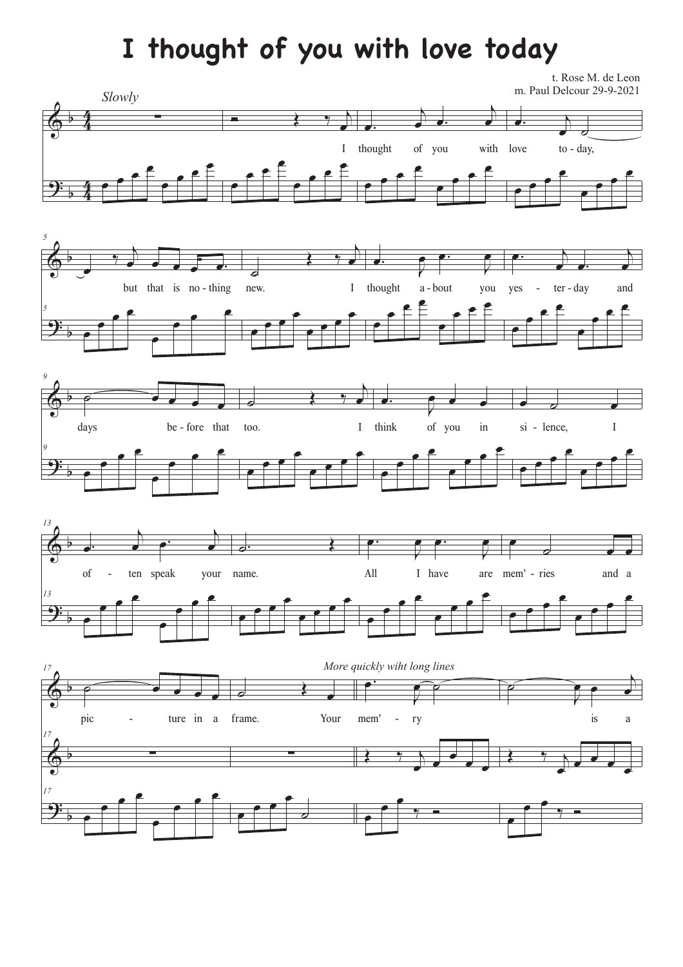## **I thought of you with love today**

t. Rose M. de Leon